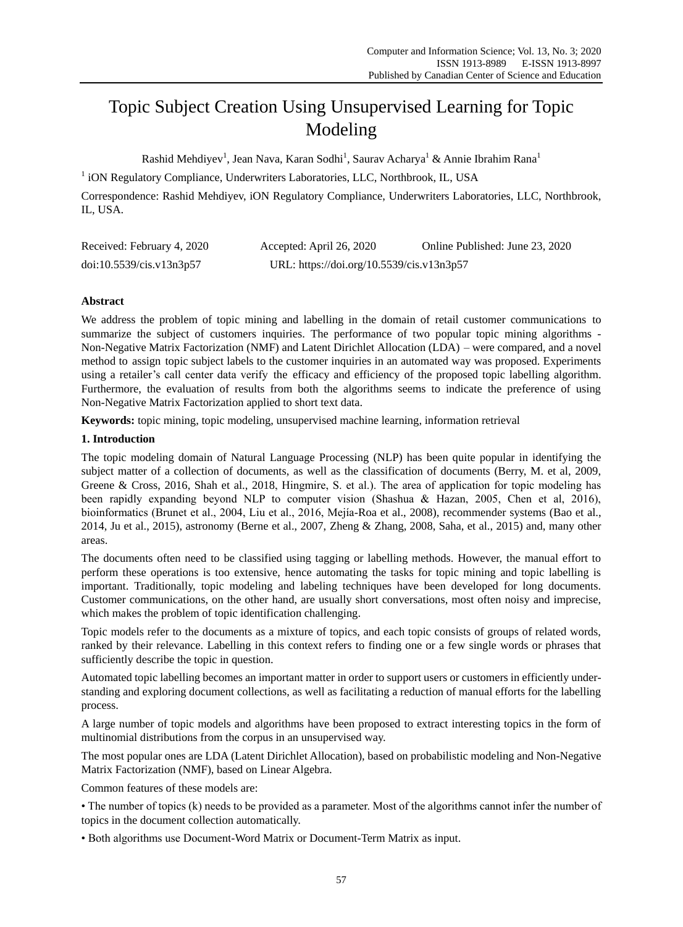# Topic Subject Creation Using Unsupervised Learning for Topic Modeling

Rashid Mehdiyev<sup>1</sup>, Jean Nava, Karan Sodhi<sup>1</sup>, Saurav Acharya<sup>1</sup> & Annie Ibrahim Rana<sup>1</sup>

<sup>1</sup> iON Regulatory Compliance, Underwriters Laboratories, LLC, Northbrook, IL, USA

Correspondence: Rashid Mehdiyev, iON Regulatory Compliance, Underwriters Laboratories, LLC, Northbrook, IL, USA.

| Received: February 4, 2020 | Accepted: April 26, 2020                  | Online Published: June 23, 2020 |
|----------------------------|-------------------------------------------|---------------------------------|
| doi:10.5539/cis.v13n3p57   | URL: https://doi.org/10.5539/cis.v13n3p57 |                                 |

# **Abstract**

We address the problem of topic mining and labelling in the domain of retail customer communications to summarize the subject of customers inquiries. The performance of two popular topic mining algorithms - Non-Negative Matrix Factorization (NMF) and Latent Dirichlet Allocation (LDA) – were compared, and a novel method to assign topic subject labels to the customer inquiries in an automated way was proposed. Experiments using a retailer"s call center data verify the efficacy and efficiency of the proposed topic labelling algorithm. Furthermore, the evaluation of results from both the algorithms seems to indicate the preference of using Non-Negative Matrix Factorization applied to short text data.

**Keywords:** topic mining, topic modeling, unsupervised machine learning, information retrieval

## **1. Introduction**

The topic modeling domain of Natural Language Processing (NLP) has been quite popular in identifying the subject matter of a collection of documents, as well as the classification of documents (Berry, M. et al, 2009, Greene & Cross, 2016, Shah et al., 2018, Hingmire, S. et al.). The area of application for topic modeling has been rapidly expanding beyond NLP to computer vision (Shashua & Hazan, 2005, Chen et al, 2016), bioinformatics (Brunet et al., 2004, Liu et al., 2016, Mejía-Roa et al., 2008), recommender systems (Bao et al., 2014, Ju et al., 2015), astronomy (Berne et al., 2007, Zheng & Zhang, 2008, Saha, et al., 2015) and, many other areas.

The documents often need to be classified using tagging or labelling methods. However, the manual effort to perform these operations is too extensive, hence automating the tasks for topic mining and topic labelling is important. Traditionally, topic modeling and labeling techniques have been developed for long documents. Customer communications, on the other hand, are usually short conversations, most often noisy and imprecise, which makes the problem of topic identification challenging.

Topic models refer to the documents as a mixture of topics, and each topic consists of groups of related words, ranked by their relevance. Labelling in this context refers to finding one or a few single words or phrases that sufficiently describe the topic in question.

Automated topic labelling becomes an important matter in order to support users or customers in efficiently understanding and exploring document collections, as well as facilitating a reduction of manual efforts for the labelling process.

A large number of topic models and algorithms have been proposed to extract interesting topics in the form of multinomial distributions from the corpus in an unsupervised way.

The most popular ones are LDA (Latent Dirichlet Allocation), based on probabilistic modeling and Non-Negative Matrix Factorization (NMF), based on Linear Algebra.

Common features of these models are:

• The number of topics (k) needs to be provided as a parameter. Most of the algorithms cannot infer the number of topics in the document collection automatically.

• Both algorithms use Document-Word Matrix or Document-Term Matrix as input.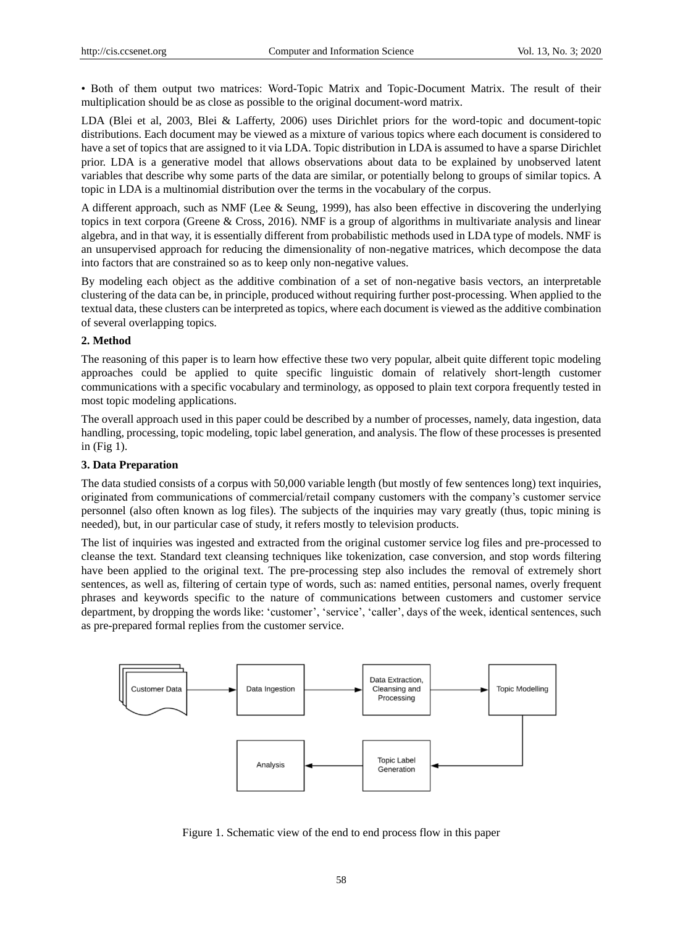• Both of them output two matrices: Word-Topic Matrix and Topic-Document Matrix. The result of their multiplication should be as close as possible to the original document-word matrix.

LDA (Blei et al, 2003, Blei & Lafferty, 2006) uses Dirichlet priors for the word-topic and document-topic distributions. Each document may be viewed as a mixture of various topics where each document is considered to have a set of topics that are assigned to it via LDA. Topic distribution in LDA is assumed to have a sparse Dirichlet prior. LDA is a generative model that allows observations about data to be explained by unobserved latent variables that describe why some parts of the data are similar, or potentially belong to groups of similar topics. A topic in LDA is a multinomial distribution over the terms in the vocabulary of the corpus.

A different approach, such as NMF (Lee & Seung, 1999), has also been effective in discovering the underlying topics in text corpora (Greene & Cross, 2016). NMF is a group of algorithms in multivariate analysis and linear algebra, and in that way, it is essentially different from probabilistic methods used in LDA type of models. NMF is an unsupervised approach for reducing the dimensionality of non-negative matrices, which decompose the data into factors that are constrained so as to keep only non-negative values.

By modeling each object as the additive combination of a set of non-negative basis vectors, an interpretable clustering of the data can be, in principle, produced without requiring further post-processing. When applied to the textual data, these clusters can be interpreted as topics, where each document is viewed as the additive combination of several overlapping topics.

#### **2. Method**

The reasoning of this paper is to learn how effective these two very popular, albeit quite different topic modeling approaches could be applied to quite specific linguistic domain of relatively short-length customer communications with a specific vocabulary and terminology, as opposed to plain text corpora frequently tested in most topic modeling applications.

The overall approach used in this paper could be described by a number of processes, namely, data ingestion, data handling, processing, topic modeling, topic label generation, and analysis. The flow of these processes is presented in (Fig 1).

#### **3. Data Preparation**

The data studied consists of a corpus with 50,000 variable length (but mostly of few sentences long) text inquiries, originated from communications of commercial/retail company customers with the company"s customer service personnel (also often known as log files). The subjects of the inquiries may vary greatly (thus, topic mining is needed), but, in our particular case of study, it refers mostly to television products.

The list of inquiries was ingested and extracted from the original customer service log files and pre-processed to cleanse the text. Standard text cleansing techniques like tokenization, case conversion, and stop words filtering have been applied to the original text. The pre-processing step also includes the removal of extremely short sentences, as well as, filtering of certain type of words, such as: named entities, personal names, overly frequent phrases and keywords specific to the nature of communications between customers and customer service department, by dropping the words like: 'customer', 'service', 'caller', days of the week, identical sentences, such as pre-prepared formal replies from the customer service.



Figure 1. Schematic view of the end to end process flow in this paper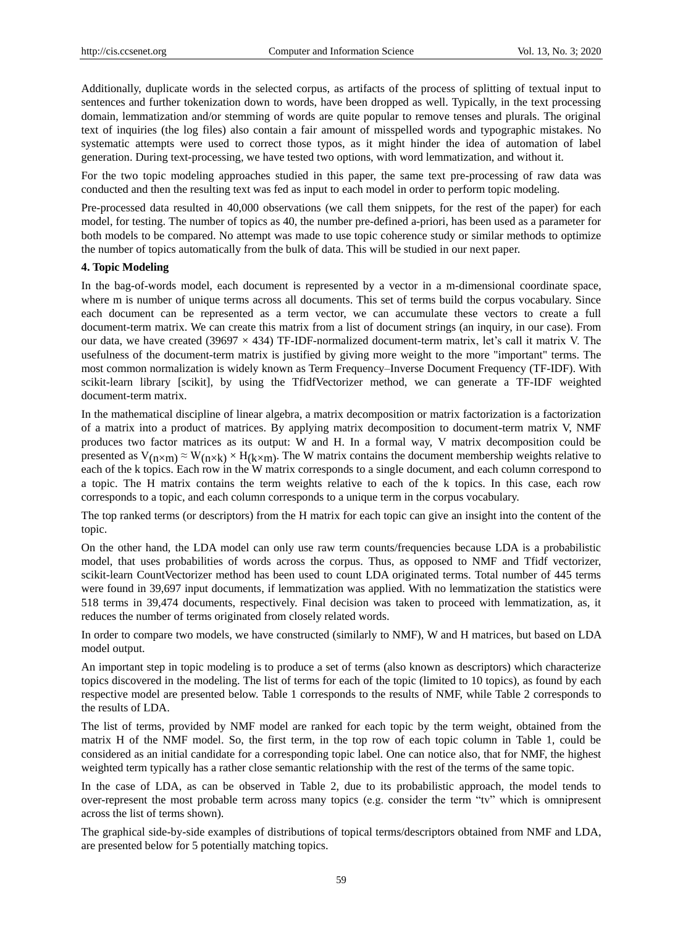Additionally, duplicate words in the selected corpus, as artifacts of the process of splitting of textual input to sentences and further tokenization down to words, have been dropped as well. Typically, in the text processing domain, lemmatization and/or stemming of words are quite popular to remove tenses and plurals. The original text of inquiries (the log files) also contain a fair amount of misspelled words and typographic mistakes. No systematic attempts were used to correct those typos, as it might hinder the idea of automation of label generation. During text-processing, we have tested two options, with word lemmatization, and without it.

For the two topic modeling approaches studied in this paper, the same text pre-processing of raw data was conducted and then the resulting text was fed as input to each model in order to perform topic modeling.

Pre-processed data resulted in 40,000 observations (we call them snippets, for the rest of the paper) for each model, for testing. The number of topics as 40, the number pre-defined a-priori, has been used as a parameter for both models to be compared. No attempt was made to use topic coherence study or similar methods to optimize the number of topics automatically from the bulk of data. This will be studied in our next paper.

#### **4. Topic Modeling**

In the bag-of-words model, each document is represented by a vector in a m-dimensional coordinate space, where m is number of unique terms across all documents. This set of terms build the corpus vocabulary. Since each document can be represented as a term vector, we can accumulate these vectors to create a full document-term matrix. We can create this matrix from a list of document strings (an inquiry, in our case). From our data, we have created (39697  $\times$  434) TF-IDF-normalized document-term matrix, let's call it matrix V. The usefulness of the document-term matrix is justified by giving more weight to the more "important" terms. The most common normalization is widely known as Term Frequency–Inverse Document Frequency (TF-IDF). With scikit-learn library [scikit], by using the TfidfVectorizer method, we can generate a TF-IDF weighted document-term matrix.

In the mathematical discipline of linear algebra, a matrix decomposition or matrix factorization is a factorization of a matrix into a product of matrices. By applying matrix decomposition to document-term matrix V, NMF produces two factor matrices as its output: W and H. In a formal way, V matrix decomposition could be presented as  $V_{(n \times m)} \approx W_{(n \times k)} \times H_{(k \times m)}$ . The W matrix contains the document membership weights relative to each of the k topics. Each row in the W matrix corresponds to a single document, and each column correspond to a topic. The H matrix contains the term weights relative to each of the k topics. In this case, each row corresponds to a topic, and each column corresponds to a unique term in the corpus vocabulary.

The top ranked terms (or descriptors) from the H matrix for each topic can give an insight into the content of the topic.

On the other hand, the LDA model can only use raw term counts/frequencies because LDA is a probabilistic model, that uses probabilities of words across the corpus. Thus, as opposed to NMF and Tfidf vectorizer, scikit-learn CountVectorizer method has been used to count LDA originated terms. Total number of 445 terms were found in 39,697 input documents, if lemmatization was applied. With no lemmatization the statistics were 518 terms in 39,474 documents, respectively. Final decision was taken to proceed with lemmatization, as, it reduces the number of terms originated from closely related words.

In order to compare two models, we have constructed (similarly to NMF), W and H matrices, but based on LDA model output.

An important step in topic modeling is to produce a set of terms (also known as descriptors) which characterize topics discovered in the modeling. The list of terms for each of the topic (limited to 10 topics), as found by each respective model are presented below. Table 1 corresponds to the results of NMF, while Table 2 corresponds to the results of LDA.

The list of terms, provided by NMF model are ranked for each topic by the term weight, obtained from the matrix H of the NMF model. So, the first term, in the top row of each topic column in Table 1, could be considered as an initial candidate for a corresponding topic label. One can notice also, that for NMF, the highest weighted term typically has a rather close semantic relationship with the rest of the terms of the same topic.

In the case of LDA, as can be observed in Table 2, due to its probabilistic approach, the model tends to over-represent the most probable term across many topics (e.g. consider the term "tv" which is omnipresent across the list of terms shown).

The graphical side-by-side examples of distributions of topical terms/descriptors obtained from NMF and LDA, are presented below for 5 potentially matching topics.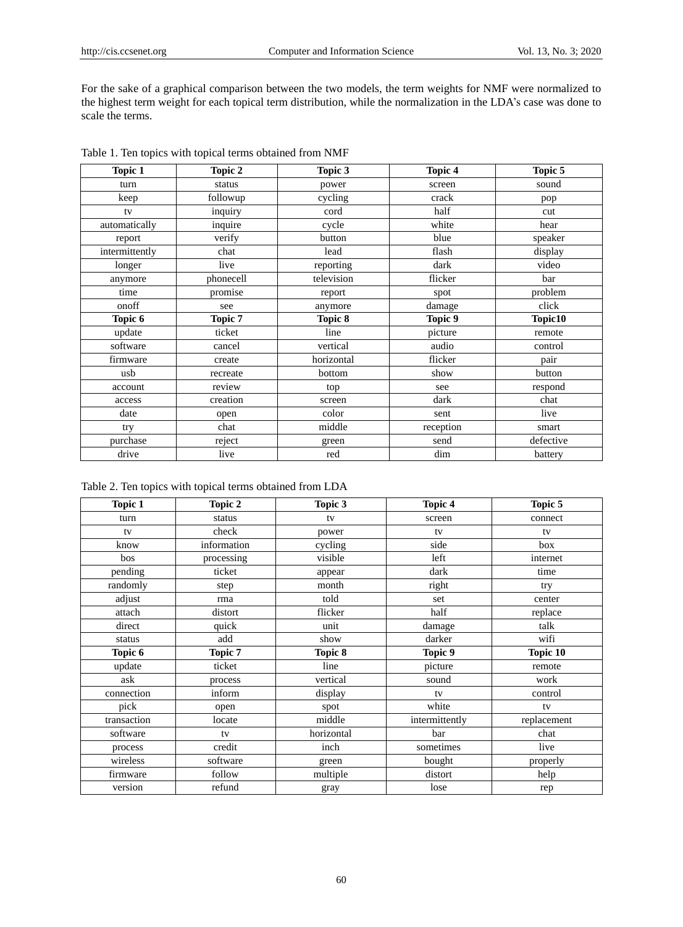For the sake of a graphical comparison between the two models, the term weights for NMF were normalized to the highest term weight for each topical term distribution, while the normalization in the LDA"s case was done to scale the terms.

| <b>Topic 1</b> | Topic 2        | Topic 3    | <b>Topic 4</b> | Topic 5   |
|----------------|----------------|------------|----------------|-----------|
| turn           | status         | power      | screen         | sound     |
| keep           | followup       | cycling    | crack          | pop       |
| tv             | inquiry        | cord       | half           | cut       |
| automatically  | inquire        | cycle      | white          | hear      |
| report         | verify         | button     | blue           | speaker   |
| intermittently | chat           | lead       | flash          | display   |
| longer         | live           | reporting  | dark           | video     |
| anymore        | phonecell      | television | flicker        | bar       |
| time           | promise        | report     | spot           | problem   |
| onoff          | see            | anymore    | damage         | click     |
| Topic 6        | <b>Topic 7</b> | Topic 8    | Topic 9        | Topic10   |
| update         | ticket         | line       | picture        | remote    |
| software       | cancel         | vertical   | audio          | control   |
| firmware       | create         | horizontal | flicker        | pair      |
| usb            | recreate       | bottom     | show           | button    |
| account        | review         | top        | see            | respond   |
| access         | creation       | screen     | dark           | chat      |
| date           | open           | color      | sent           | live      |
| try            | chat           | middle     | reception      | smart     |
| purchase       | reject         | green      | send           | defective |
| drive          | live           | red        | dim            | battery   |

Table 2. Ten topics with topical terms obtained from LDA

| <b>Topic 1</b> | Topic 2        | Topic 3    | Topic 4        | Topic 5         |
|----------------|----------------|------------|----------------|-----------------|
| turn           | status         | tv         | screen         | connect         |
| tv             | check          | power      | tv             | tv              |
| know           | information    | cycling    | side           | box             |
| bos            | processing     | visible    | left           | internet        |
| pending        | ticket         | appear     | dark           | time            |
| randomly       | step           | month      | right          | try             |
| adjust         | rma            | told       | set            | center          |
| attach         | distort        | flicker    | half           | replace         |
| direct         | quick          | unit       | damage         | talk            |
| status         | add            | show       | darker         | wifi            |
| Topic 6        | <b>Topic 7</b> | Topic 8    | Topic 9        | <b>Topic 10</b> |
| update         | ticket         | line       | picture        | remote          |
| ask            | process        | vertical   | sound          | work            |
| connection     | inform         | display    | tv             | control         |
| pick           | open           | spot       | white          | tv              |
| transaction    | locate         | middle     | intermittently | replacement     |
| software       | tv             | horizontal | bar            | chat            |
| process        | credit         | inch       | sometimes      | live            |
| wireless       | software       | green      | bought         | properly        |
| firmware       | follow         | multiple   | distort        | help            |
| version        | refund         | gray       | lose           | rep             |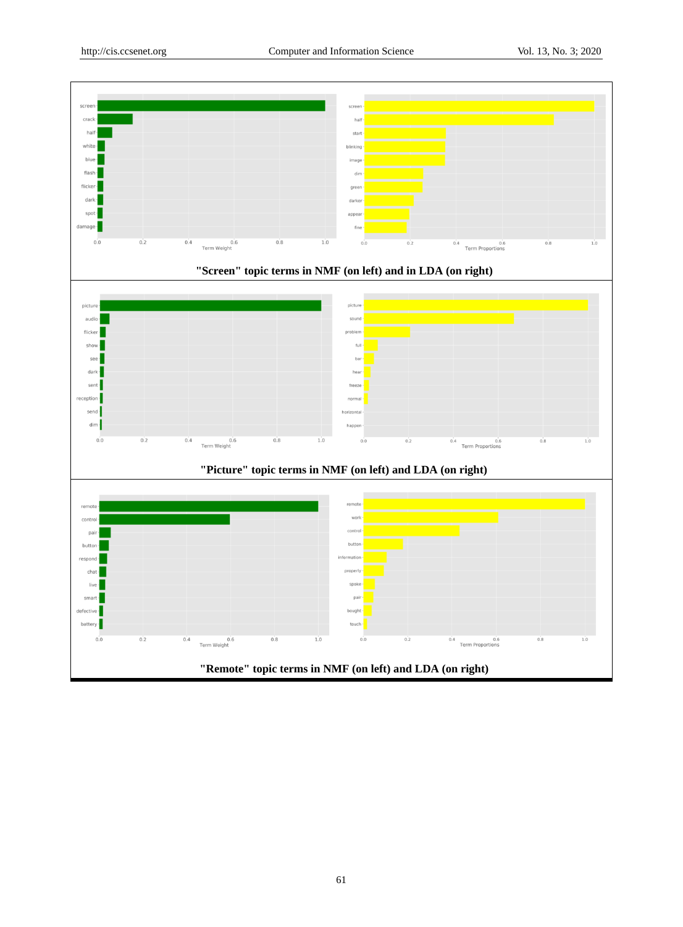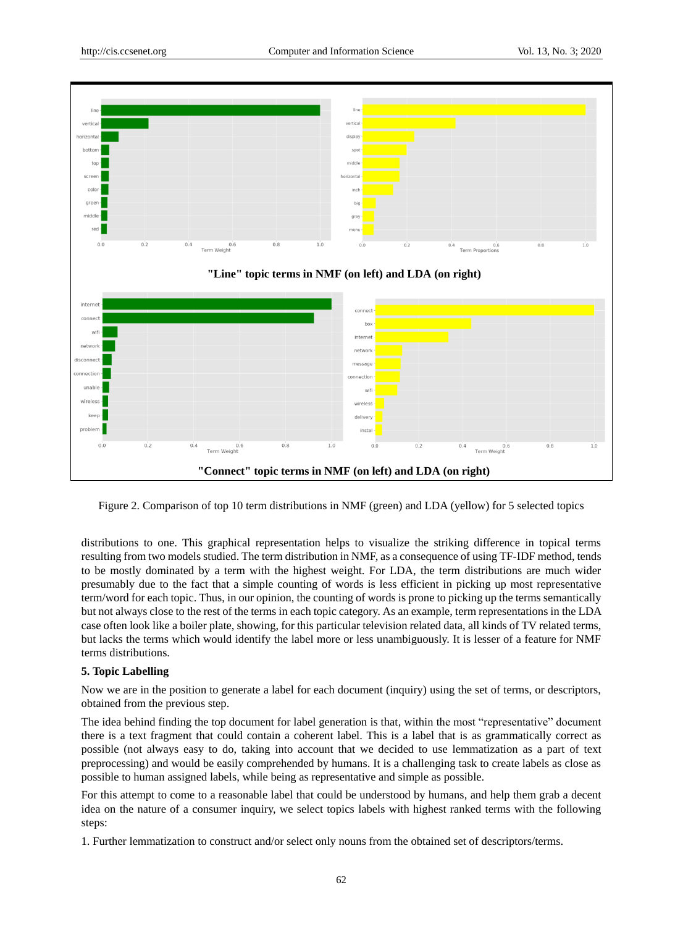

Figure 2. Comparison of top 10 term distributions in NMF (green) and LDA (yellow) for 5 selected topics

distributions to one. This graphical representation helps to visualize the striking difference in topical terms resulting from two models studied. The term distribution in NMF, as a consequence of using TF-IDF method, tends to be mostly dominated by a term with the highest weight. For LDA, the term distributions are much wider presumably due to the fact that a simple counting of words is less efficient in picking up most representative term/word for each topic. Thus, in our opinion, the counting of words is prone to picking up the terms semantically but not always close to the rest of the terms in each topic category. As an example, term representations in the LDA case often look like a boiler plate, showing, for this particular television related data, all kinds of TV related terms, but lacks the terms which would identify the label more or less unambiguously. It is lesser of a feature for NMF terms distributions.

## **5. Topic Labelling**

Now we are in the position to generate a label for each document (inquiry) using the set of terms, or descriptors, obtained from the previous step.

The idea behind finding the top document for label generation is that, within the most "representative" document there is a text fragment that could contain a coherent label. This is a label that is as grammatically correct as possible (not always easy to do, taking into account that we decided to use lemmatization as a part of text preprocessing) and would be easily comprehended by humans. It is a challenging task to create labels as close as possible to human assigned labels, while being as representative and simple as possible.

For this attempt to come to a reasonable label that could be understood by humans, and help them grab a decent idea on the nature of a consumer inquiry, we select topics labels with highest ranked terms with the following steps:

1. Further lemmatization to construct and/or select only nouns from the obtained set of descriptors/terms.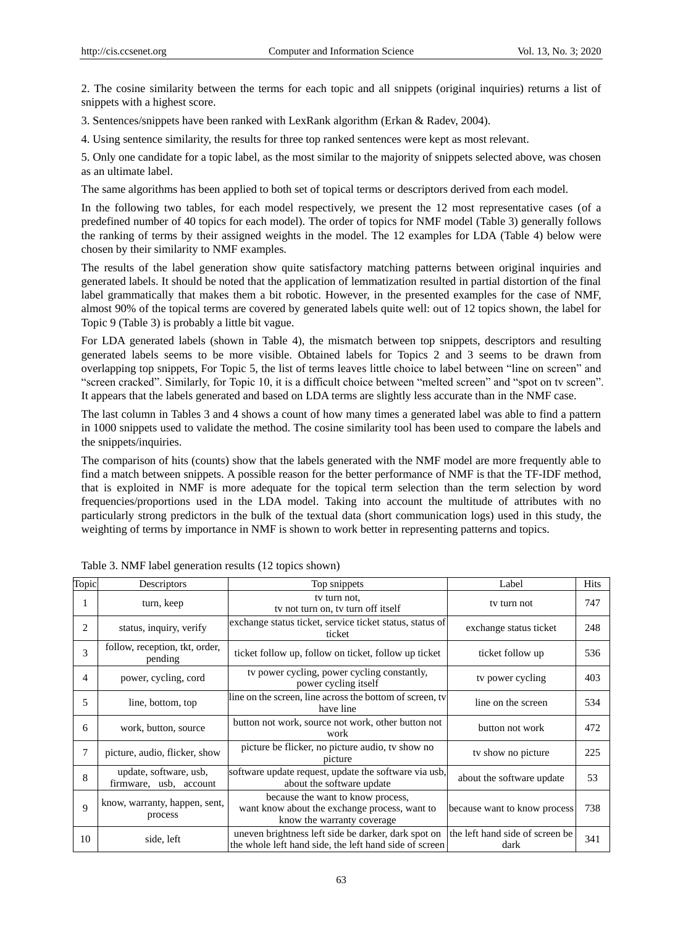2. The cosine similarity between the terms for each topic and all snippets (original inquiries) returns a list of snippets with a highest score.

3. Sentences/snippets have been ranked with LexRank algorithm (Erkan & Radev, 2004).

4. Using sentence similarity, the results for three top ranked sentences were kept as most relevant.

5. Only one candidate for a topic label, as the most similar to the majority of snippets selected above, was chosen as an ultimate label.

The same algorithms has been applied to both set of topical terms or descriptors derived from each model.

In the following two tables, for each model respectively, we present the 12 most representative cases (of a predefined number of 40 topics for each model). The order of topics for NMF model (Table 3) generally follows the ranking of terms by their assigned weights in the model. The 12 examples for LDA (Table 4) below were chosen by their similarity to NMF examples.

The results of the label generation show quite satisfactory matching patterns between original inquiries and generated labels. It should be noted that the application of lemmatization resulted in partial distortion of the final label grammatically that makes them a bit robotic. However, in the presented examples for the case of NMF, almost 90% of the topical terms are covered by generated labels quite well: out of 12 topics shown, the label for Topic 9 (Table 3) is probably a little bit vague.

For LDA generated labels (shown in Table 4), the mismatch between top snippets, descriptors and resulting generated labels seems to be more visible. Obtained labels for Topics 2 and 3 seems to be drawn from overlapping top snippets, For Topic 5, the list of terms leaves little choice to label between "line on screen" and "screen cracked". Similarly, for Topic 10, it is a difficult choice between "melted screen" and "spot on tv screen". It appears that the labels generated and based on LDA terms are slightly less accurate than in the NMF case.

The last column in Tables 3 and 4 shows a count of how many times a generated label was able to find a pattern in 1000 snippets used to validate the method. The cosine similarity tool has been used to compare the labels and the snippets/inquiries.

The comparison of hits (counts) show that the labels generated with the NMF model are more frequently able to find a match between snippets. A possible reason for the better performance of NMF is that the TF-IDF method, that is exploited in NMF is more adequate for the topical term selection than the term selection by word frequencies/proportions used in the LDA model. Taking into account the multitude of attributes with no particularly strong predictors in the bulk of the textual data (short communication logs) used in this study, the weighting of terms by importance in NMF is shown to work better in representing patterns and topics.

| Topic | Descriptors                                      | Top snippets                                                                                                                                  | Label                        | Hits |
|-------|--------------------------------------------------|-----------------------------------------------------------------------------------------------------------------------------------------------|------------------------------|------|
| 1     | turn, keep                                       | ty turn not,<br>ty not turn on, ty turn off itself                                                                                            | ty turn not                  | 747  |
| 2     | status, inquiry, verify                          | exchange status ticket, service ticket status, status of<br>ticket                                                                            | exchange status ticket       | 248  |
| 3     | follow, reception, tkt, order,<br>pending        | ticket follow up, follow on ticket, follow up ticket                                                                                          | ticket follow up             | 536  |
| 4     | power, cycling, cord                             | ty power cycling, power cycling constantly,<br>power cycling itself                                                                           | ty power cycling             | 403  |
| 5     | line, bottom, top                                | line on the screen, line across the bottom of screen, tv<br>have line                                                                         | line on the screen           | 534  |
| 6     | work, button, source                             | button not work, source not work, other button not<br>work                                                                                    | button not work              | 472  |
| 7     | picture, audio, flicker, show                    | picture be flicker, no picture audio, tv show no<br>picture                                                                                   | ty show no picture           | 225  |
| 8     | update, software, usb,<br>firmware, usb, account | software update request, update the software via usb,<br>about the software update                                                            | about the software update    | 53   |
| 9     | know, warranty, happen, sent,<br>process         | because the want to know process,<br>want know about the exchange process, want to<br>know the warranty coverage                              | because want to know process | 738  |
| 10    | side, left                                       | uneven brightness left side be darker, dark spot on the left hand side of screen be<br>the whole left hand side, the left hand side of screen | dark                         | 341  |

Table 3. NMF label generation results (12 topics shown)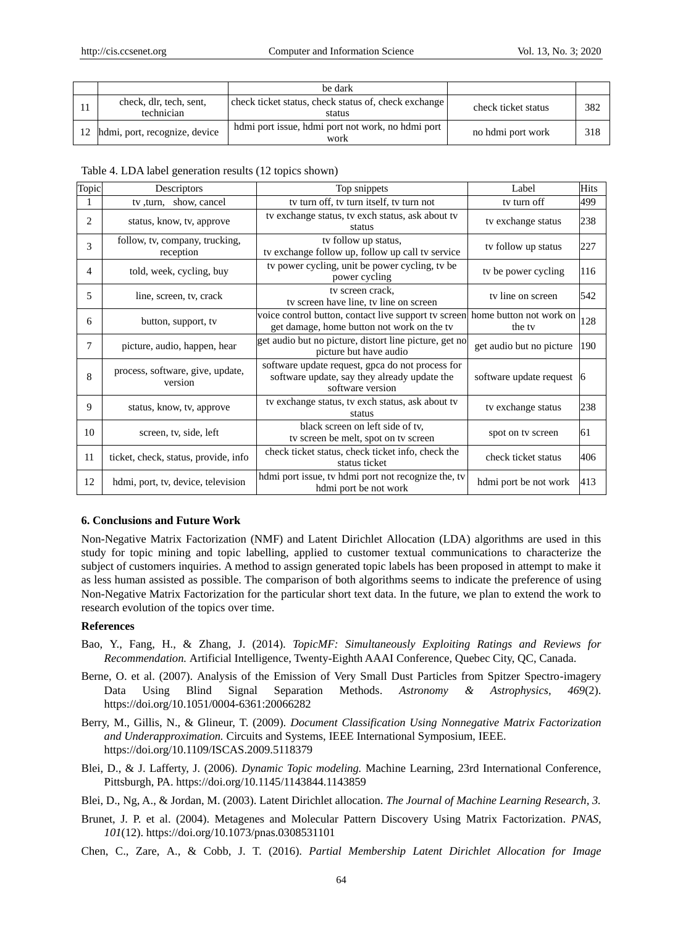|                                       | be dark                                                        |                     |     |
|---------------------------------------|----------------------------------------------------------------|---------------------|-----|
| check, dlr, tech, sent,<br>technician | check ticket status, check status of, check exchange<br>status | check ticket status | 382 |
| hdmi, port, recognize, device         | hdmi port issue, hdmi port not work, no hdmi port<br>work      | no hdmi port work   | 318 |

| Table 4. LDA label generation results (12 topics shown) |  |  |
|---------------------------------------------------------|--|--|
|---------------------------------------------------------|--|--|

| Topic | Descriptors                                 | Top snippets                                                                                                               | Label                    | Hits |
|-------|---------------------------------------------|----------------------------------------------------------------------------------------------------------------------------|--------------------------|------|
|       | tv, turn, show, cancel                      | tv turn off, tv turn itself, tv turn not                                                                                   | tv turn off              | 499  |
| 2     | status, know, tv, approve                   | ty exchange status, ty exch status, ask about ty<br>status                                                                 | tv exchange status       | 238  |
| 3     | follow, tv, company, trucking,<br>reception | tv follow up status,<br>tv exchange follow up, follow up call tv service                                                   | ty follow up status      | 227  |
| 4     | told, week, cycling, buy                    | tv power cycling, unit be power cycling, tv be<br>power cycling                                                            | ty be power cycling      | 116  |
| 5     | line, screen, tv, crack                     | tv screen crack,<br>ty screen have line, ty line on screen                                                                 | ty line on screen        | 542  |
| 6     | button, support, tv                         | voice control button, contact live support tv screen home button not work on<br>get damage, home button not work on the tv | the ty                   | 128  |
| 7     | picture, audio, happen, hear                | get audio but no picture, distort line picture, get no<br>picture but have audio                                           | get audio but no picture | 190  |
| 8     | process, software, give, update,<br>version | software update request, gpca do not process for<br>software update, say they already update the<br>software version       | software update request  | 16   |
| 9     | status, know, tv, approve                   | ty exchange status, ty exch status, ask about ty<br>status                                                                 | tv exchange status       | 238  |
| 10    | screen, tv, side, left                      | black screen on left side of tv,<br>tv screen be melt, spot on tv screen                                                   | spot on tv screen        | 61   |
| 11    | ticket, check, status, provide, info        | check ticket status, check ticket info, check the<br>status ticket                                                         | check ticket status      | 406  |
| 12    | hdmi, port, tv, device, television          | hdmi port issue, tv hdmi port not recognize the, tv<br>hdmi port be not work                                               | hdmi port be not work    | 413  |

#### **6. Conclusions and Future Work**

Non-Negative Matrix Factorization (NMF) and Latent Dirichlet Allocation (LDA) algorithms are used in this study for topic mining and topic labelling, applied to customer textual communications to characterize the subject of customers inquiries. A method to assign generated topic labels has been proposed in attempt to make it as less human assisted as possible. The comparison of both algorithms seems to indicate the preference of using Non-Negative Matrix Factorization for the particular short text data. In the future, we plan to extend the work to research evolution of the topics over time.

#### **References**

- Bao, Y., Fang, H., & Zhang, J. (2014). *TopicMF: Simultaneously Exploiting Ratings and Reviews for Recommendation.* Artificial Intelligence, Twenty-Eighth AAAI Conference, Quebec City, QC, Canada.
- Berne, O. et al. (2007). Analysis of the Emission of Very Small Dust Particles from Spitzer Spectro-imagery Data Using Blind Signal Separation Methods. *Astronomy & Astrophysics, 469*(2). https://doi.org/10.1051/0004-6361:20066282
- Berry, M., Gillis, N., & Glineur, T. (2009). *Document Classification Using Nonnegative Matrix Factorization and Underapproximation.* Circuits and Systems, IEEE International Symposium, IEEE. https://doi.org/10.1109/ISCAS.2009.5118379
- Blei, D., & J. Lafferty, J. (2006). *Dynamic Topic modeling.* Machine Learning, 23rd International Conference, Pittsburgh, PA. https://doi.org/10.1145/1143844.1143859

Blei, D., Ng, A., & Jordan, M. (2003). Latent Dirichlet allocation. *The Journal of Machine Learning Research, 3.*

- Brunet, J. P. et al. (2004). Metagenes and Molecular Pattern Discovery Using Matrix Factorization. *PNAS, 101*(12). https://doi.org/10.1073/pnas.0308531101
- Chen, C., Zare, A., & Cobb, J. T. (2016). *Partial Membership Latent Dirichlet Allocation for Image*